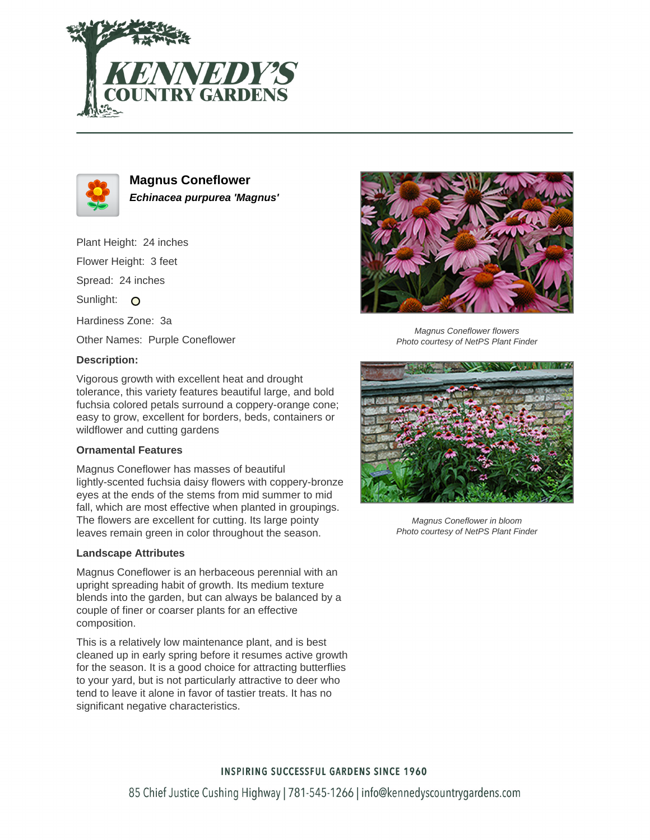



**Magnus Coneflower Echinacea purpurea 'Magnus'**

Plant Height: 24 inches

Flower Height: 3 feet

Spread: 24 inches

Sunlight: O

Hardiness Zone: 3a

Other Names: Purple Coneflower

## **Description:**

Vigorous growth with excellent heat and drought tolerance, this variety features beautiful large, and bold fuchsia colored petals surround a coppery-orange cone; easy to grow, excellent for borders, beds, containers or wildflower and cutting gardens

# **Ornamental Features**

Magnus Coneflower has masses of beautiful lightly-scented fuchsia daisy flowers with coppery-bronze eyes at the ends of the stems from mid summer to mid fall, which are most effective when planted in groupings. The flowers are excellent for cutting. Its large pointy leaves remain green in color throughout the season.

#### **Landscape Attributes**

Magnus Coneflower is an herbaceous perennial with an upright spreading habit of growth. Its medium texture blends into the garden, but can always be balanced by a couple of finer or coarser plants for an effective composition.

This is a relatively low maintenance plant, and is best cleaned up in early spring before it resumes active growth for the season. It is a good choice for attracting butterflies to your yard, but is not particularly attractive to deer who tend to leave it alone in favor of tastier treats. It has no significant negative characteristics.



Magnus Coneflower flowers Photo courtesy of NetPS Plant Finder



Magnus Coneflower in bloom Photo courtesy of NetPS Plant Finder

# **INSPIRING SUCCESSFUL GARDENS SINCE 1960**